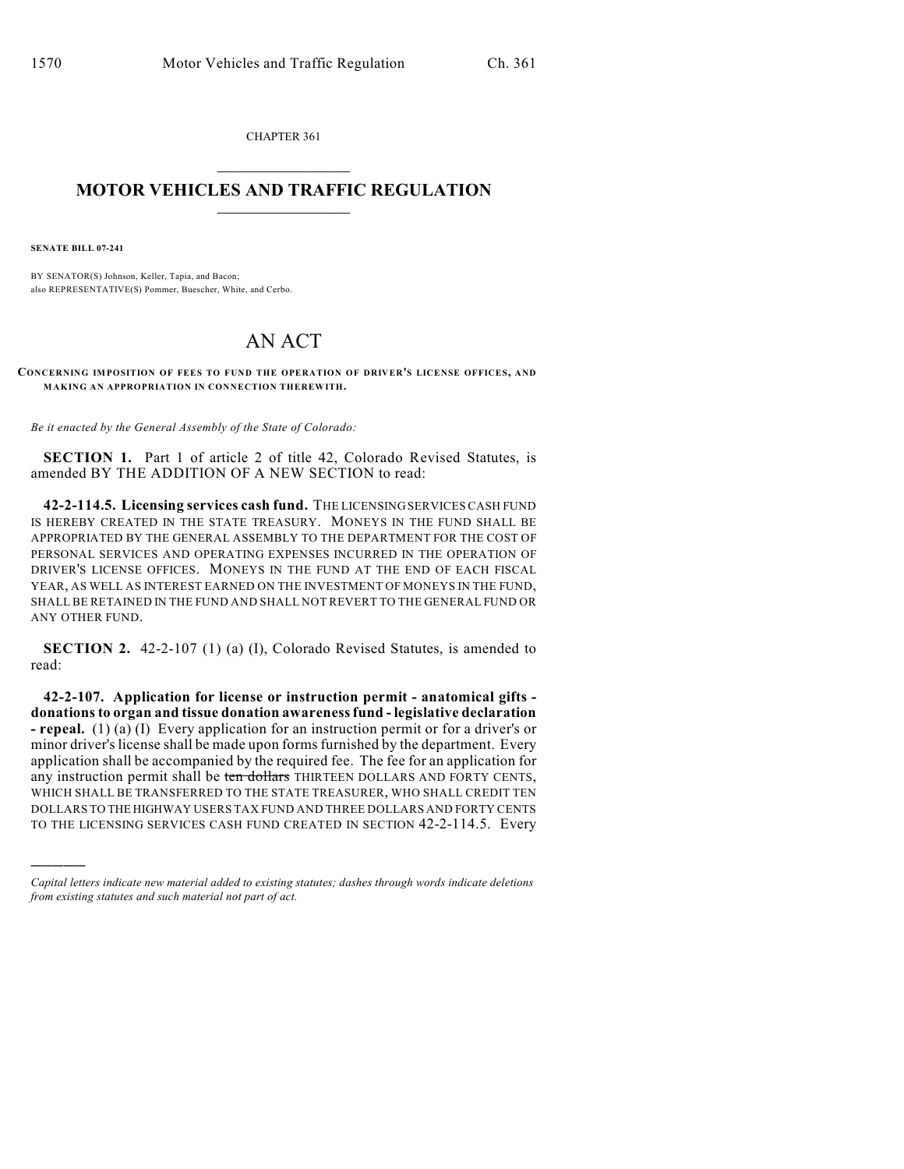CHAPTER 361  $\mathcal{L}_\text{max}$  . The set of the set of the set of the set of the set of the set of the set of the set of the set of the set of the set of the set of the set of the set of the set of the set of the set of the set of the set

## **MOTOR VEHICLES AND TRAFFIC REGULATION**  $\frac{1}{2}$  ,  $\frac{1}{2}$  ,  $\frac{1}{2}$  ,  $\frac{1}{2}$  ,  $\frac{1}{2}$  ,  $\frac{1}{2}$  ,  $\frac{1}{2}$  ,  $\frac{1}{2}$

**SENATE BILL 07-241**

)))))

BY SENATOR(S) Johnson, Keller, Tapia, and Bacon; also REPRESENTATIVE(S) Pommer, Buescher, White, and Cerbo.

## AN ACT

**CONCERNING IMPOSITION OF FEES TO FUND THE OPERATION OF DRIVER'S LICENSE OFFICES, AND MAKING AN APPROPRIATION IN CONNECTION THEREWITH.**

*Be it enacted by the General Assembly of the State of Colorado:*

**SECTION 1.** Part 1 of article 2 of title 42, Colorado Revised Statutes, is amended BY THE ADDITION OF A NEW SECTION to read:

**42-2-114.5. Licensing services cash fund.** THE LICENSING SERVICES CASH FUND IS HEREBY CREATED IN THE STATE TREASURY. MONEYS IN THE FUND SHALL BE APPROPRIATED BY THE GENERAL ASSEMBLY TO THE DEPARTMENT FOR THE COST OF PERSONAL SERVICES AND OPERATING EXPENSES INCURRED IN THE OPERATION OF DRIVER'S LICENSE OFFICES. MONEYS IN THE FUND AT THE END OF EACH FISCAL YEAR, AS WELL AS INTEREST EARNED ON THE INVESTMENT OF MONEYS IN THE FUND, SHALL BE RETAINED IN THE FUND AND SHALL NOT REVERT TO THE GENERAL FUND OR ANY OTHER FUND.

**SECTION 2.** 42-2-107 (1) (a) (I), Colorado Revised Statutes, is amended to read:

**42-2-107. Application for license or instruction permit - anatomical gifts donations to organ and tissue donation awareness fund - legislative declaration - repeal.** (1) (a) (I) Every application for an instruction permit or for a driver's or minor driver's license shall be made upon forms furnished by the department. Every application shall be accompanied by the required fee. The fee for an application for any instruction permit shall be ten dollars THIRTEEN DOLLARS AND FORTY CENTS, WHICH SHALL BE TRANSFERRED TO THE STATE TREASURER, WHO SHALL CREDIT TEN DOLLARS TO THE HIGHWAY USERS TAX FUND AND THREE DOLLARS AND FORTY CENTS TO THE LICENSING SERVICES CASH FUND CREATED IN SECTION 42-2-114.5. Every

*Capital letters indicate new material added to existing statutes; dashes through words indicate deletions from existing statutes and such material not part of act.*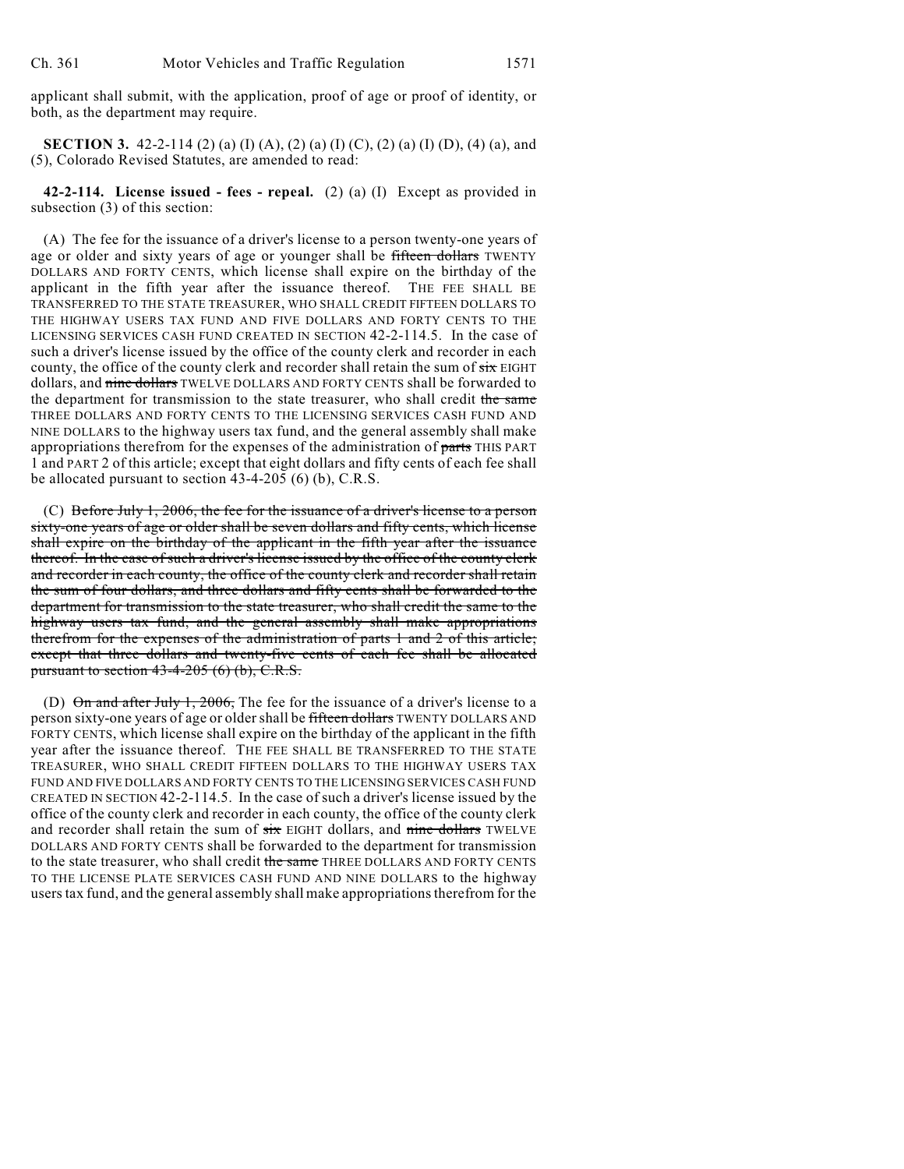applicant shall submit, with the application, proof of age or proof of identity, or both, as the department may require.

**SECTION 3.** 42-2-114 (2) (a) (I) (A), (2) (a) (I) (C), (2) (a) (I) (D), (4) (a), and (5), Colorado Revised Statutes, are amended to read:

**42-2-114. License issued - fees - repeal.** (2) (a) (I) Except as provided in subsection (3) of this section:

(A) The fee for the issuance of a driver's license to a person twenty-one years of age or older and sixty years of age or younger shall be fifteen dollars TWENTY DOLLARS AND FORTY CENTS, which license shall expire on the birthday of the applicant in the fifth year after the issuance thereof. THE FEE SHALL BE TRANSFERRED TO THE STATE TREASURER, WHO SHALL CREDIT FIFTEEN DOLLARS TO THE HIGHWAY USERS TAX FUND AND FIVE DOLLARS AND FORTY CENTS TO THE LICENSING SERVICES CASH FUND CREATED IN SECTION 42-2-114.5. In the case of such a driver's license issued by the office of the county clerk and recorder in each county, the office of the county clerk and recorder shall retain the sum of  $s$ ix EIGHT dollars, and nine dollars TWELVE DOLLARS AND FORTY CENTS shall be forwarded to the department for transmission to the state treasurer, who shall credit the same THREE DOLLARS AND FORTY CENTS TO THE LICENSING SERVICES CASH FUND AND NINE DOLLARS to the highway users tax fund, and the general assembly shall make appropriations therefrom for the expenses of the administration of parts THIS PART 1 and PART 2 of this article; except that eight dollars and fifty cents of each fee shall be allocated pursuant to section 43-4-205 (6) (b), C.R.S.

(C) Before July 1, 2006, the fee for the issuance of a driver's license to a person sixty-one years of age or older shall be seven dollars and fifty cents, which license shall expire on the birthday of the applicant in the fifth year after the issuance thereof. In the case of such a driver's license issued by the office of the county clerk and recorder in each county, the office of the county clerk and recorder shall retain the sum of four dollars, and three dollars and fifty cents shall be forwarded to the department for transmission to the state treasurer, who shall credit the same to the highway users tax fund, and the general assembly shall make appropriations therefrom for the expenses of the administration of parts 1 and 2 of this article; except that three dollars and twenty-five cents of each fee shall be allocated pursuant to section  $43-4-205$  (6) (b), C.R.S.

(D)  $\Theta$ n and after July 1, 2006, The fee for the issuance of a driver's license to a person sixty-one years of age or older shall be fifteen dollars TWENTY DOLLARS AND FORTY CENTS, which license shall expire on the birthday of the applicant in the fifth year after the issuance thereof. THE FEE SHALL BE TRANSFERRED TO THE STATE TREASURER, WHO SHALL CREDIT FIFTEEN DOLLARS TO THE HIGHWAY USERS TAX FUND AND FIVE DOLLARS AND FORTY CENTS TO THE LICENSING SERVICES CASH FUND CREATED IN SECTION 42-2-114.5. In the case of such a driver's license issued by the office of the county clerk and recorder in each county, the office of the county clerk and recorder shall retain the sum of  $six$  EIGHT dollars, and nine dollars TWELVE DOLLARS AND FORTY CENTS shall be forwarded to the department for transmission to the state treasurer, who shall credit the same THREE DOLLARS AND FORTY CENTS TO THE LICENSE PLATE SERVICES CASH FUND AND NINE DOLLARS to the highway users tax fund, and the general assembly shall make appropriations therefrom for the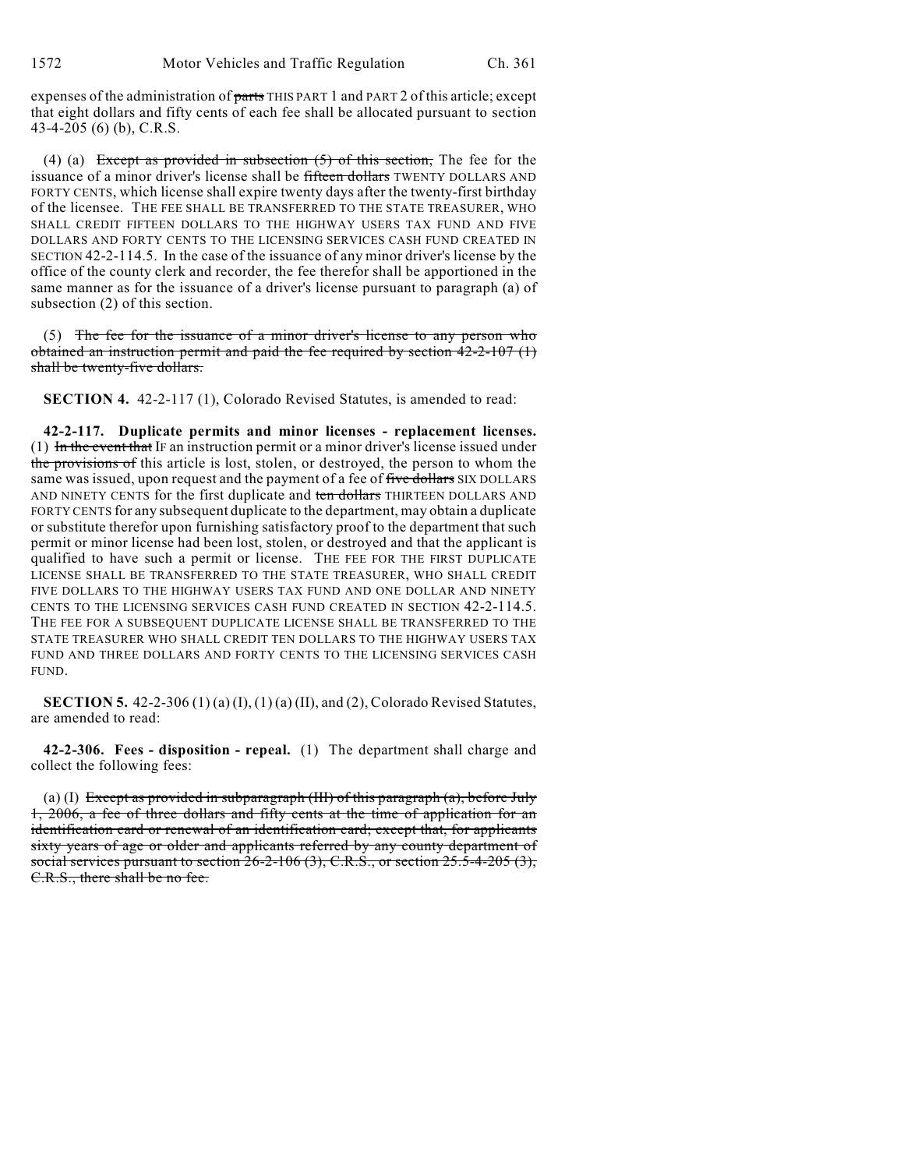expenses of the administration of parts THIS PART 1 and PART 2 of this article; except that eight dollars and fifty cents of each fee shall be allocated pursuant to section 43-4-205 (6) (b), C.R.S.

(4) (a) Except as provided in subsection  $(5)$  of this section, The fee for the issuance of a minor driver's license shall be fifteen dollars TWENTY DOLLARS AND FORTY CENTS, which license shall expire twenty days after the twenty-first birthday of the licensee. THE FEE SHALL BE TRANSFERRED TO THE STATE TREASURER, WHO SHALL CREDIT FIFTEEN DOLLARS TO THE HIGHWAY USERS TAX FUND AND FIVE DOLLARS AND FORTY CENTS TO THE LICENSING SERVICES CASH FUND CREATED IN SECTION 42-2-114.5. In the case of the issuance of any minor driver's license by the office of the county clerk and recorder, the fee therefor shall be apportioned in the same manner as for the issuance of a driver's license pursuant to paragraph (a) of subsection (2) of this section.

(5) The fee for the issuance of a minor driver's license to any person who obtained an instruction permit and paid the fee required by section  $42-2-107$  (1) shall be twenty-five dollars.

**SECTION 4.** 42-2-117 (1), Colorado Revised Statutes, is amended to read:

**42-2-117. Duplicate permits and minor licenses - replacement licenses.** (1) In the event that IF an instruction permit or a minor driver's license issued under the provisions of this article is lost, stolen, or destroyed, the person to whom the same was issued, upon request and the payment of a fee of five dollars SIX DOLLARS AND NINETY CENTS for the first duplicate and ten dollars THIRTEEN DOLLARS AND FORTY CENTS for any subsequent duplicate to the department, may obtain a duplicate or substitute therefor upon furnishing satisfactory proof to the department that such permit or minor license had been lost, stolen, or destroyed and that the applicant is qualified to have such a permit or license. THE FEE FOR THE FIRST DUPLICATE LICENSE SHALL BE TRANSFERRED TO THE STATE TREASURER, WHO SHALL CREDIT FIVE DOLLARS TO THE HIGHWAY USERS TAX FUND AND ONE DOLLAR AND NINETY CENTS TO THE LICENSING SERVICES CASH FUND CREATED IN SECTION 42-2-114.5. THE FEE FOR A SUBSEQUENT DUPLICATE LICENSE SHALL BE TRANSFERRED TO THE STATE TREASURER WHO SHALL CREDIT TEN DOLLARS TO THE HIGHWAY USERS TAX FUND AND THREE DOLLARS AND FORTY CENTS TO THE LICENSING SERVICES CASH FUND.

**SECTION 5.** 42-2-306 (1) (a) (I), (1) (a) (II), and (2), Colorado Revised Statutes, are amended to read:

**42-2-306. Fees - disposition - repeal.** (1) The department shall charge and collect the following fees:

(a) (I) Except as provided in subparagraph (III) of this paragraph (a), before July 1, 2006, a fee of three dollars and fifty cents at the time of application for an identification card or renewal of an identification card; except that, for applicants sixty years of age or older and applicants referred by any county department of social services pursuant to section  $26-2-106(3)$ , C.R.S., or section  $25.5-4-205(3)$ , C.R.S., there shall be no fee.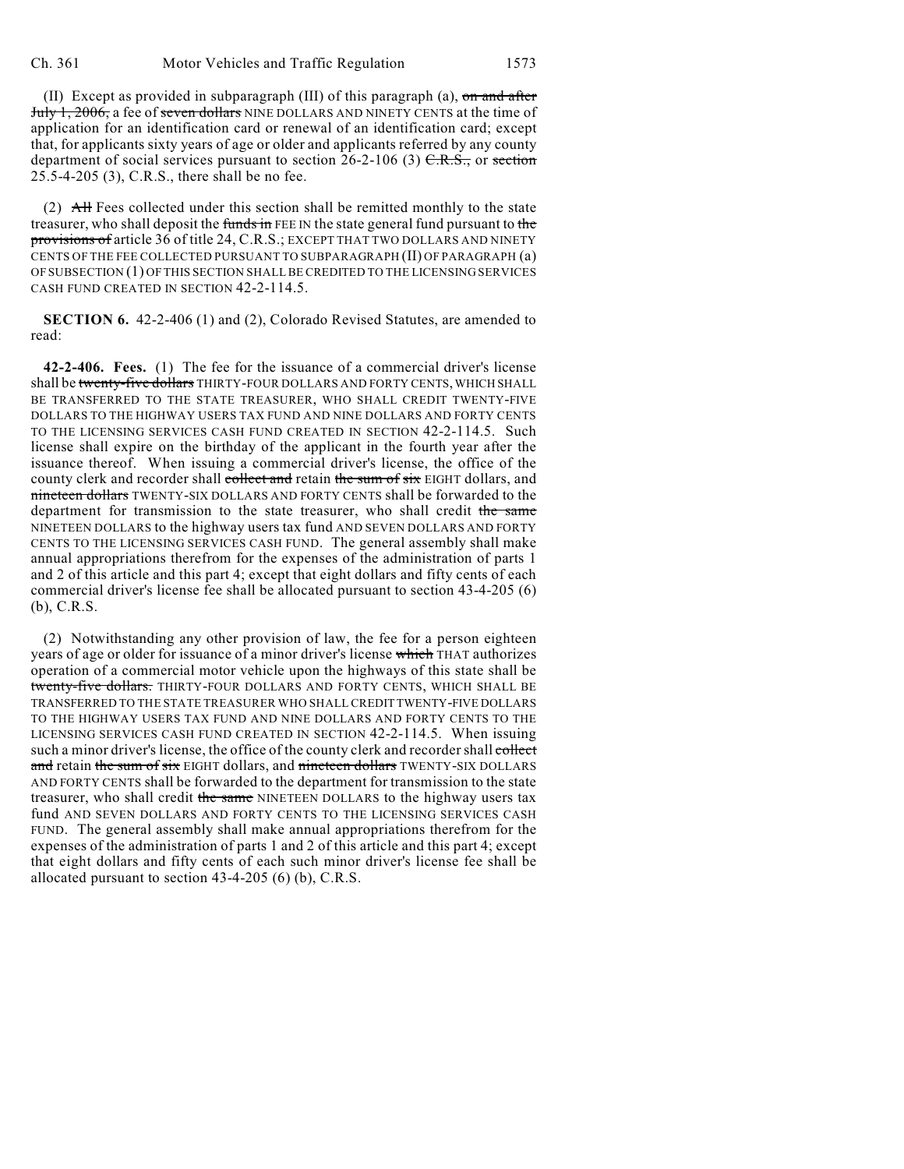(II) Except as provided in subparagraph (III) of this paragraph (a),  $\sigma$ n and after July 1, 2006, a fee of seven dollars NINE DOLLARS AND NINETY CENTS at the time of application for an identification card or renewal of an identification card; except that, for applicants sixty years of age or older and applicants referred by any county department of social services pursuant to section  $26-2-106$  (3)  $C.R.S.,$  or section 25.5-4-205 (3), C.R.S., there shall be no fee.

(2) All Fees collected under this section shall be remitted monthly to the state treasurer, who shall deposit the funds in FEE IN the state general fund pursuant to the provisions of article 36 of title 24, C.R.S.; EXCEPT THAT TWO DOLLARS AND NINETY CENTS OF THE FEE COLLECTED PURSUANT TO SUBPARAGRAPH (II) OF PARAGRAPH (a) OF SUBSECTION (1) OF THIS SECTION SHALL BE CREDITED TO THE LICENSING SERVICES CASH FUND CREATED IN SECTION 42-2-114.5.

**SECTION 6.** 42-2-406 (1) and (2), Colorado Revised Statutes, are amended to read:

**42-2-406. Fees.** (1) The fee for the issuance of a commercial driver's license shall be twenty-five dollars THIRTY-FOUR DOLLARS AND FORTY CENTS, WHICH SHALL BE TRANSFERRED TO THE STATE TREASURER, WHO SHALL CREDIT TWENTY-FIVE DOLLARS TO THE HIGHWAY USERS TAX FUND AND NINE DOLLARS AND FORTY CENTS TO THE LICENSING SERVICES CASH FUND CREATED IN SECTION 42-2-114.5. Such license shall expire on the birthday of the applicant in the fourth year after the issuance thereof. When issuing a commercial driver's license, the office of the county clerk and recorder shall collect and retain the sum of six EIGHT dollars, and nineteen dollars TWENTY-SIX DOLLARS AND FORTY CENTS shall be forwarded to the department for transmission to the state treasurer, who shall credit the same NINETEEN DOLLARS to the highway users tax fund AND SEVEN DOLLARS AND FORTY CENTS TO THE LICENSING SERVICES CASH FUND. The general assembly shall make annual appropriations therefrom for the expenses of the administration of parts 1 and 2 of this article and this part 4; except that eight dollars and fifty cents of each commercial driver's license fee shall be allocated pursuant to section 43-4-205 (6) (b), C.R.S.

(2) Notwithstanding any other provision of law, the fee for a person eighteen years of age or older for issuance of a minor driver's license which THAT authorizes operation of a commercial motor vehicle upon the highways of this state shall be twenty-five dollars. THIRTY-FOUR DOLLARS AND FORTY CENTS, WHICH SHALL BE TRANSFERRED TO THE STATE TREASURER WHO SHALL CREDIT TWENTY-FIVE DOLLARS TO THE HIGHWAY USERS TAX FUND AND NINE DOLLARS AND FORTY CENTS TO THE LICENSING SERVICES CASH FUND CREATED IN SECTION 42-2-114.5. When issuing such a minor driver's license, the office of the county clerk and recorder shall collect and retain the sum of six EIGHT dollars, and nineteen dollars TWENTY-SIX DOLLARS AND FORTY CENTS shall be forwarded to the department for transmission to the state treasurer, who shall credit the same NINETEEN DOLLARS to the highway users tax fund AND SEVEN DOLLARS AND FORTY CENTS TO THE LICENSING SERVICES CASH FUND. The general assembly shall make annual appropriations therefrom for the expenses of the administration of parts 1 and 2 of this article and this part 4; except that eight dollars and fifty cents of each such minor driver's license fee shall be allocated pursuant to section 43-4-205 (6) (b), C.R.S.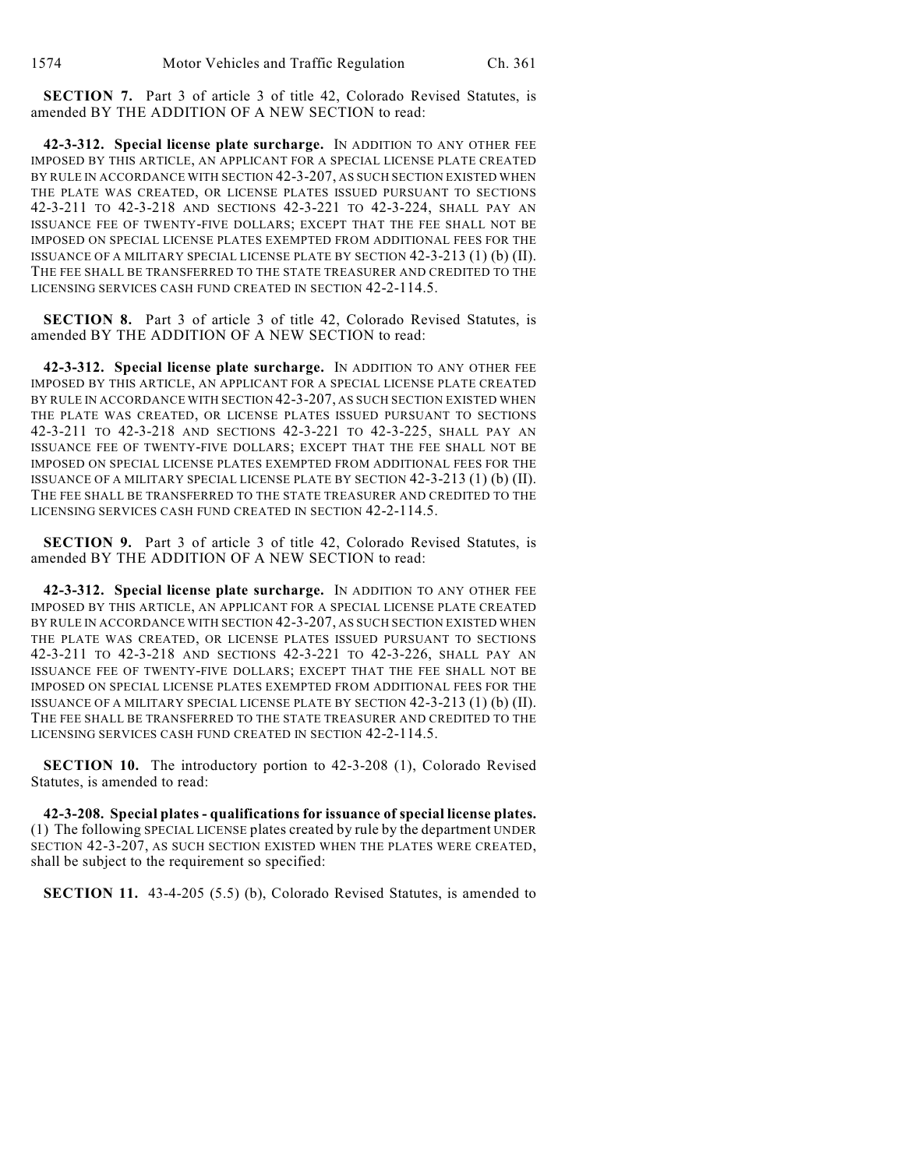**SECTION 7.** Part 3 of article 3 of title 42, Colorado Revised Statutes, is amended BY THE ADDITION OF A NEW SECTION to read:

**42-3-312. Special license plate surcharge.** IN ADDITION TO ANY OTHER FEE IMPOSED BY THIS ARTICLE, AN APPLICANT FOR A SPECIAL LICENSE PLATE CREATED BY RULE IN ACCORDANCE WITH SECTION 42-3-207, AS SUCH SECTION EXISTED WHEN THE PLATE WAS CREATED, OR LICENSE PLATES ISSUED PURSUANT TO SECTIONS 42-3-211 TO 42-3-218 AND SECTIONS 42-3-221 TO 42-3-224, SHALL PAY AN ISSUANCE FEE OF TWENTY-FIVE DOLLARS; EXCEPT THAT THE FEE SHALL NOT BE IMPOSED ON SPECIAL LICENSE PLATES EXEMPTED FROM ADDITIONAL FEES FOR THE ISSUANCE OF A MILITARY SPECIAL LICENSE PLATE BY SECTION 42-3-213 (1) (b) (II). THE FEE SHALL BE TRANSFERRED TO THE STATE TREASURER AND CREDITED TO THE LICENSING SERVICES CASH FUND CREATED IN SECTION 42-2-114.5.

**SECTION 8.** Part 3 of article 3 of title 42, Colorado Revised Statutes, is amended BY THE ADDITION OF A NEW SECTION to read:

**42-3-312. Special license plate surcharge.** IN ADDITION TO ANY OTHER FEE IMPOSED BY THIS ARTICLE, AN APPLICANT FOR A SPECIAL LICENSE PLATE CREATED BY RULE IN ACCORDANCE WITH SECTION 42-3-207, AS SUCH SECTION EXISTED WHEN THE PLATE WAS CREATED, OR LICENSE PLATES ISSUED PURSUANT TO SECTIONS 42-3-211 TO 42-3-218 AND SECTIONS 42-3-221 TO 42-3-225, SHALL PAY AN ISSUANCE FEE OF TWENTY-FIVE DOLLARS; EXCEPT THAT THE FEE SHALL NOT BE IMPOSED ON SPECIAL LICENSE PLATES EXEMPTED FROM ADDITIONAL FEES FOR THE ISSUANCE OF A MILITARY SPECIAL LICENSE PLATE BY SECTION 42-3-213 (1) (b) (II). THE FEE SHALL BE TRANSFERRED TO THE STATE TREASURER AND CREDITED TO THE LICENSING SERVICES CASH FUND CREATED IN SECTION 42-2-114.5.

**SECTION 9.** Part 3 of article 3 of title 42, Colorado Revised Statutes, is amended BY THE ADDITION OF A NEW SECTION to read:

**42-3-312. Special license plate surcharge.** IN ADDITION TO ANY OTHER FEE IMPOSED BY THIS ARTICLE, AN APPLICANT FOR A SPECIAL LICENSE PLATE CREATED BY RULE IN ACCORDANCE WITH SECTION 42-3-207, AS SUCH SECTION EXISTED WHEN THE PLATE WAS CREATED, OR LICENSE PLATES ISSUED PURSUANT TO SECTIONS 42-3-211 TO 42-3-218 AND SECTIONS 42-3-221 TO 42-3-226, SHALL PAY AN ISSUANCE FEE OF TWENTY-FIVE DOLLARS; EXCEPT THAT THE FEE SHALL NOT BE IMPOSED ON SPECIAL LICENSE PLATES EXEMPTED FROM ADDITIONAL FEES FOR THE ISSUANCE OF A MILITARY SPECIAL LICENSE PLATE BY SECTION 42-3-213 (1) (b) (II). THE FEE SHALL BE TRANSFERRED TO THE STATE TREASURER AND CREDITED TO THE LICENSING SERVICES CASH FUND CREATED IN SECTION 42-2-114.5.

**SECTION 10.** The introductory portion to 42-3-208 (1), Colorado Revised Statutes, is amended to read:

**42-3-208. Special plates - qualifications for issuance of special license plates.** (1) The following SPECIAL LICENSE plates created by rule by the department UNDER SECTION 42-3-207, AS SUCH SECTION EXISTED WHEN THE PLATES WERE CREATED, shall be subject to the requirement so specified:

**SECTION 11.** 43-4-205 (5.5) (b), Colorado Revised Statutes, is amended to